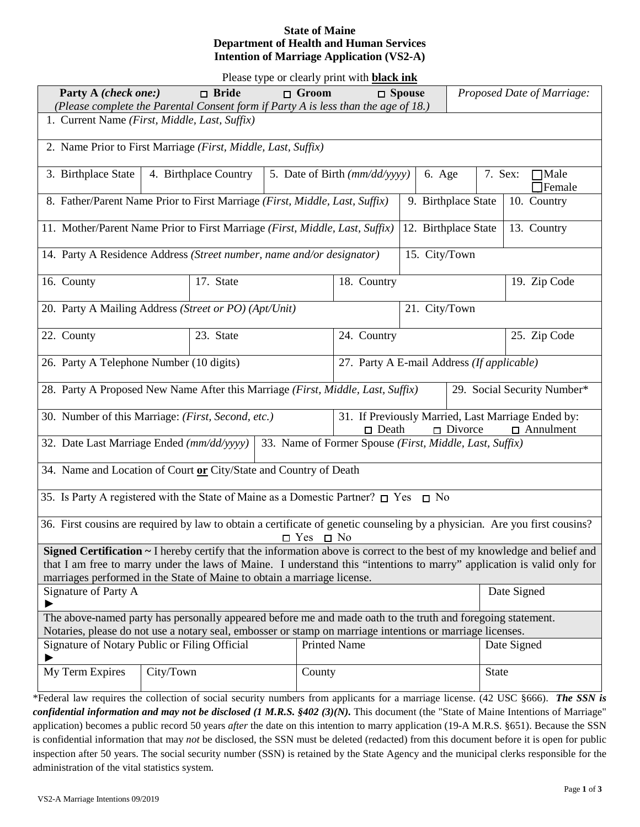# **State of Maine Department of Health and Human Services Intention of Marriage Application (VS2-A)**

Please type or clearly print with **black ink**

| Party A (check one:)                                                                                                                                                                                                     | $\Box$ Bride          | I icase type of creatly print with <b>black life</b><br>$\Box$ Groom |                                                                                                             | $\Box$ Spouse |                                    | Proposed Date of Marriage:              |  |  |  |
|--------------------------------------------------------------------------------------------------------------------------------------------------------------------------------------------------------------------------|-----------------------|----------------------------------------------------------------------|-------------------------------------------------------------------------------------------------------------|---------------|------------------------------------|-----------------------------------------|--|--|--|
| (Please complete the Parental Consent form if Party A is less than the age of 18.)                                                                                                                                       |                       |                                                                      |                                                                                                             |               |                                    |                                         |  |  |  |
| 1. Current Name (First, Middle, Last, Suffix)                                                                                                                                                                            |                       |                                                                      |                                                                                                             |               |                                    |                                         |  |  |  |
| 2. Name Prior to First Marriage (First, Middle, Last, Suffix)                                                                                                                                                            |                       |                                                                      |                                                                                                             |               |                                    |                                         |  |  |  |
| 3. Birthplace State                                                                                                                                                                                                      | 4. Birthplace Country | 5. Date of Birth (mm/dd/yyyy)                                        |                                                                                                             |               | 6. Age                             | 7. Sex:<br>$\Box$ Male<br><b>Female</b> |  |  |  |
| 8. Father/Parent Name Prior to First Marriage (First, Middle, Last, Suffix)                                                                                                                                              |                       |                                                                      |                                                                                                             |               | 9. Birthplace State<br>10. Country |                                         |  |  |  |
| 11. Mother/Parent Name Prior to First Marriage (First, Middle, Last, Suffix)                                                                                                                                             |                       |                                                                      |                                                                                                             |               | 12. Birthplace State               | 13. Country                             |  |  |  |
| 14. Party A Residence Address (Street number, name and/or designator)                                                                                                                                                    |                       |                                                                      |                                                                                                             |               | 15. City/Town                      |                                         |  |  |  |
| 16. County                                                                                                                                                                                                               | 17. State             | 18. Country                                                          |                                                                                                             |               |                                    | 19. Zip Code                            |  |  |  |
| 20. Party A Mailing Address (Street or PO) (Apt/Unit)                                                                                                                                                                    |                       |                                                                      |                                                                                                             | 21. City/Town |                                    |                                         |  |  |  |
| 22. County                                                                                                                                                                                                               | 23. State             |                                                                      | 24. Country                                                                                                 |               |                                    | 25. Zip Code                            |  |  |  |
| 27. Party A E-mail Address (If applicable)<br>26. Party A Telephone Number (10 digits)                                                                                                                                   |                       |                                                                      |                                                                                                             |               |                                    |                                         |  |  |  |
| 28. Party A Proposed New Name After this Marriage (First, Middle, Last, Suffix)<br>29. Social Security Number*                                                                                                           |                       |                                                                      |                                                                                                             |               |                                    |                                         |  |  |  |
| 30. Number of this Marriage: (First, Second, etc.)                                                                                                                                                                       |                       |                                                                      | 31. If Previously Married, Last Marriage Ended by:<br>$\square$ Death<br>$\Box$ Divorce<br>$\Box$ Annulment |               |                                    |                                         |  |  |  |
| 32. Date Last Marriage Ended (mm/dd/yyyy) 33. Name of Former Spouse (First, Middle, Last, Suffix)                                                                                                                        |                       |                                                                      |                                                                                                             |               |                                    |                                         |  |  |  |
| 34. Name and Location of Court or City/State and Country of Death                                                                                                                                                        |                       |                                                                      |                                                                                                             |               |                                    |                                         |  |  |  |
| 35. Is Party A registered with the State of Maine as a Domestic Partner? $\square$ Yes $\square$ No                                                                                                                      |                       |                                                                      |                                                                                                             |               |                                    |                                         |  |  |  |
| 36. First cousins are required by law to obtain a certificate of genetic counseling by a physician. Are you first cousins?<br>$\Box$ Yes $\Box$ No                                                                       |                       |                                                                      |                                                                                                             |               |                                    |                                         |  |  |  |
| Signed Certification ~ I hereby certify that the information above is correct to the best of my knowledge and belief and                                                                                                 |                       |                                                                      |                                                                                                             |               |                                    |                                         |  |  |  |
| that I am free to marry under the laws of Maine. I understand this "intentions to marry" application is valid only for<br>marriages performed in the State of Maine to obtain a marriage license.                        |                       |                                                                      |                                                                                                             |               |                                    |                                         |  |  |  |
| Signature of Party A<br>▶                                                                                                                                                                                                |                       |                                                                      |                                                                                                             |               |                                    | Date Signed                             |  |  |  |
| The above-named party has personally appeared before me and made oath to the truth and foregoing statement.<br>Notaries, please do not use a notary seal, embosser or stamp on marriage intentions or marriage licenses. |                       |                                                                      |                                                                                                             |               |                                    |                                         |  |  |  |
| Signature of Notary Public or Filing Official                                                                                                                                                                            |                       |                                                                      | <b>Printed Name</b>                                                                                         |               |                                    | Date Signed                             |  |  |  |
| My Term Expires                                                                                                                                                                                                          | City/Town             | County                                                               |                                                                                                             |               |                                    | <b>State</b>                            |  |  |  |
|                                                                                                                                                                                                                          |                       |                                                                      |                                                                                                             |               |                                    |                                         |  |  |  |

\*Federal law requires the collection of social security numbers from applicants for a marriage license. (42 USC §666). *The SSN is confidential information and may not be disclosed (1 M.R.S. §402 (3)(N).* This document (the "State of Maine Intentions of Marriage" application) becomes a public record 50 years *after* the date on this intention to marry application (19-A M.R.S. §651). Because the SSN is confidential information that may *not* be disclosed, the SSN must be deleted (redacted) from this document before it is open for public inspection after 50 years. The social security number (SSN) is retained by the State Agency and the municipal clerks responsible for the administration of the vital statistics system.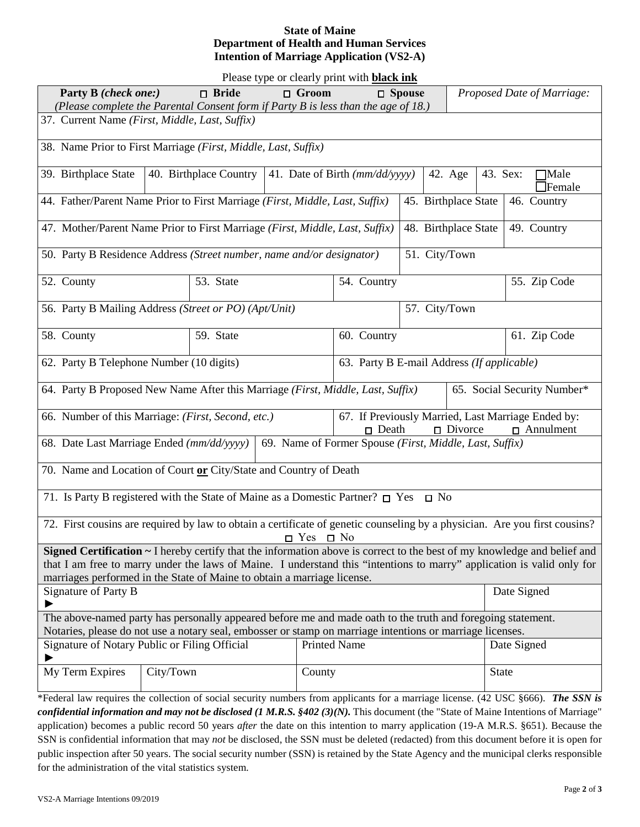# **State of Maine Department of Health and Human Services Intention of Marriage Application (VS2-A)**

Please type or clearly print with **black ink**

|                                                                                                                                                                                                                          | The case type of creatly plant with <b>black limit</b><br>Party B (check one:)<br>$\Box$ Bride<br>$\Box$ Groom<br>$\Box$ Spouse |               |                                                                                                          |               |                                          | Proposed Date of Marriage: |  |  |  |
|--------------------------------------------------------------------------------------------------------------------------------------------------------------------------------------------------------------------------|---------------------------------------------------------------------------------------------------------------------------------|---------------|----------------------------------------------------------------------------------------------------------|---------------|------------------------------------------|----------------------------|--|--|--|
| (Please complete the Parental Consent form if Party B is less than the age of 18.)                                                                                                                                       |                                                                                                                                 |               |                                                                                                          |               |                                          |                            |  |  |  |
| 37. Current Name (First, Middle, Last, Suffix)                                                                                                                                                                           |                                                                                                                                 |               |                                                                                                          |               |                                          |                            |  |  |  |
| 38. Name Prior to First Marriage (First, Middle, Last, Suffix)                                                                                                                                                           |                                                                                                                                 |               |                                                                                                          |               |                                          |                            |  |  |  |
| 39. Birthplace State                                                                                                                                                                                                     | 40. Birthplace Country   41. Date of Birth $\left(\frac{mm}{dd}{\gamma y}y\right)$                                              |               |                                                                                                          | 42. Age       | 43. Sex:<br>$\Box$ Male<br>$\Box$ Female |                            |  |  |  |
| 44. Father/Parent Name Prior to First Marriage (First, Middle, Last, Suffix)                                                                                                                                             |                                                                                                                                 |               | 45. Birthplace State                                                                                     | 46. Country   |                                          |                            |  |  |  |
| 47. Mother/Parent Name Prior to First Marriage (First, Middle, Last, Suffix)                                                                                                                                             |                                                                                                                                 |               | 48. Birthplace State                                                                                     | 49. Country   |                                          |                            |  |  |  |
| 50. Party B Residence Address (Street number, name and/or designator)                                                                                                                                                    |                                                                                                                                 | 51. City/Town |                                                                                                          |               |                                          |                            |  |  |  |
| 52. County                                                                                                                                                                                                               | 53. State                                                                                                                       |               | 54. Country                                                                                              |               |                                          | 55. Zip Code               |  |  |  |
|                                                                                                                                                                                                                          | 56. Party B Mailing Address (Street or PO) (Apt/Unit)                                                                           |               |                                                                                                          | 57. City/Town |                                          |                            |  |  |  |
| 58. County                                                                                                                                                                                                               | 59. State                                                                                                                       |               | 60. Country                                                                                              |               |                                          | 61. Zip Code               |  |  |  |
| 62. Party B Telephone Number (10 digits)<br>63. Party B E-mail Address (If applicable)                                                                                                                                   |                                                                                                                                 |               |                                                                                                          |               |                                          |                            |  |  |  |
| 64. Party B Proposed New Name After this Marriage (First, Middle, Last, Suffix)<br>65. Social Security Number*                                                                                                           |                                                                                                                                 |               |                                                                                                          |               |                                          |                            |  |  |  |
| 66. Number of this Marriage: (First, Second, etc.)                                                                                                                                                                       |                                                                                                                                 |               | 67. If Previously Married, Last Marriage Ended by:<br>$\Box$ Death<br>$\Box$ Divorce<br>$\Box$ Annulment |               |                                          |                            |  |  |  |
| 68. Date Last Marriage Ended (mm/dd/yyyy)   69. Name of Former Spouse (First, Middle, Last, Suffix)                                                                                                                      |                                                                                                                                 |               |                                                                                                          |               |                                          |                            |  |  |  |
| 70. Name and Location of Court or City/State and Country of Death                                                                                                                                                        |                                                                                                                                 |               |                                                                                                          |               |                                          |                            |  |  |  |
| 71. Is Party B registered with the State of Maine as a Domestic Partner? $\Box$ Yes $\Box$ No                                                                                                                            |                                                                                                                                 |               |                                                                                                          |               |                                          |                            |  |  |  |
| 72. First cousins are required by law to obtain a certificate of genetic counseling by a physician. Are you first cousins?                                                                                               |                                                                                                                                 |               |                                                                                                          |               |                                          |                            |  |  |  |
| Signed Certification ~ I hereby certify that the information above is correct to the best of my knowledge and belief and                                                                                                 |                                                                                                                                 |               |                                                                                                          |               |                                          |                            |  |  |  |
| that I am free to marry under the laws of Maine. I understand this "intentions to marry" application is valid only for                                                                                                   |                                                                                                                                 |               |                                                                                                          |               |                                          |                            |  |  |  |
| marriages performed in the State of Maine to obtain a marriage license.                                                                                                                                                  |                                                                                                                                 |               |                                                                                                          |               |                                          |                            |  |  |  |
| Signature of Party B<br>▶                                                                                                                                                                                                |                                                                                                                                 | Date Signed   |                                                                                                          |               |                                          |                            |  |  |  |
| The above-named party has personally appeared before me and made oath to the truth and foregoing statement.<br>Notaries, please do not use a notary seal, embosser or stamp on marriage intentions or marriage licenses. |                                                                                                                                 |               |                                                                                                          |               |                                          |                            |  |  |  |
| Signature of Notary Public or Filing Official                                                                                                                                                                            |                                                                                                                                 |               | <b>Printed Name</b>                                                                                      |               |                                          | Date Signed                |  |  |  |
| My Term Expires                                                                                                                                                                                                          | City/Town                                                                                                                       |               | County                                                                                                   |               |                                          | <b>State</b>               |  |  |  |
|                                                                                                                                                                                                                          |                                                                                                                                 |               |                                                                                                          |               |                                          |                            |  |  |  |

\*Federal law requires the collection of social security numbers from applicants for a marriage license. (42 USC §666). *The SSN is confidential information and may not be disclosed (1 M.R.S. §402 (3)(N).* This document (the "State of Maine Intentions of Marriage" application) becomes a public record 50 years *after* the date on this intention to marry application (19-A M.R.S. §651). Because the SSN is confidential information that may *not* be disclosed, the SSN must be deleted (redacted) from this document before it is open for public inspection after 50 years. The social security number (SSN) is retained by the State Agency and the municipal clerks responsible for the administration of the vital statistics system.